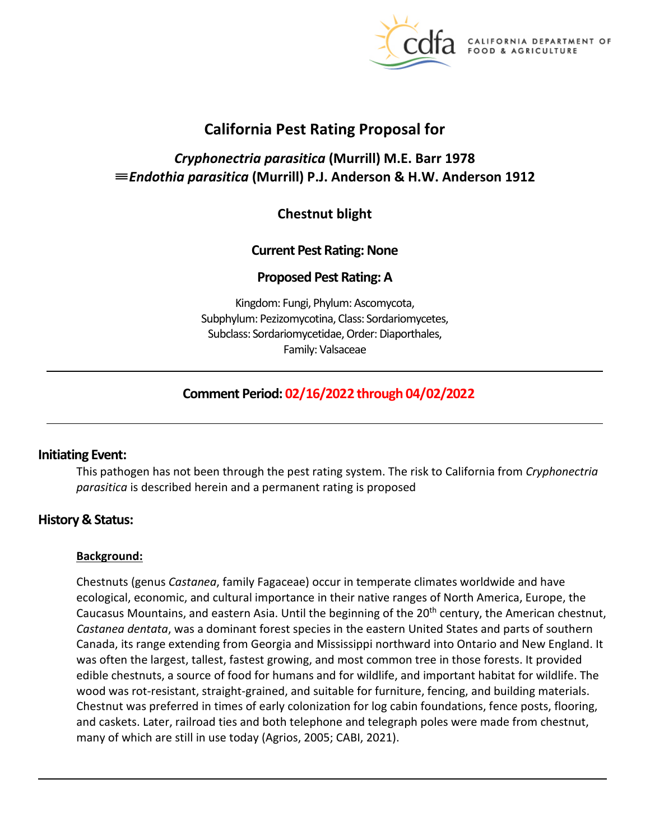

CALIFORNIA DEPARTMENT OF FOOD & AGRICULTURE

# **California Pest Rating Proposal for**

# *Cryphonectria parasitica* **(Murrill) M.E. Barr 1978**  ≡*Endothia parasitica* **(Murrill) P.J. Anderson & H.W. Anderson 1912**

# **Chestnut blight**

### **Current Pest Rating: None**

### **Proposed Pest Rating: A**

Kingdom: Fungi, Phylum: Ascomycota, Subphylum: Pezizomycotina, Class: Sordariomycetes, Subclass: Sordariomycetidae, Order: Diaporthales, Family: Valsaceae

# **Comment Period: 02/16/2022 through 04/02/2022**

## **Initiating Event:**

This pathogen has not been through the pest rating system. The risk to California from *Cryphonectria parasitica* is described herein and a permanent rating is proposed

## **History & Status:**

#### **Background:**

 Chestnuts (genus *Castanea*, family Fagaceae) occur in temperate climates worldwide and have Caucasus Mountains, and eastern Asia. Until the beginning of the 20<sup>th</sup> century, the American chestnut, was often the largest, tallest, fastest growing, and most common tree in those forests. It provided edible chestnuts, a source of food for humans and for wildlife, and important habitat for wildlife. The many of which are still in use today (Agrios, 2005; CABI, 2021). ecological, economic, and cultural importance in their native ranges of North America, Europe, the *Castanea dentata*, was a dominant forest species in the eastern United States and parts of southern Canada, its range extending from Georgia and Mississippi northward into Ontario and New England. It wood was rot-resistant, straight-grained, and suitable for furniture, fencing, and building materials. Chestnut was preferred in times of early colonization for log cabin foundations, fence posts, flooring, and caskets. Later, railroad ties and both telephone and telegraph poles were made from chestnut,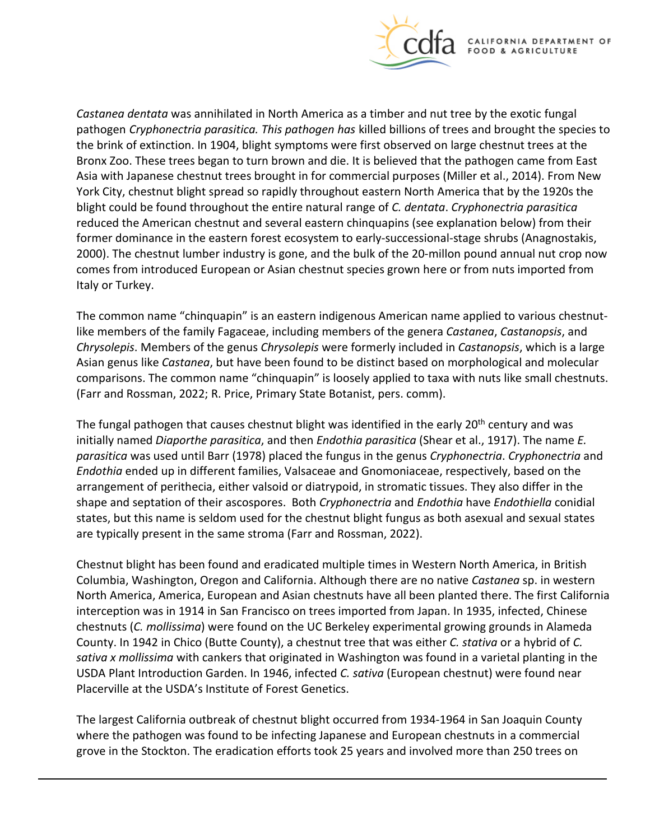

 *Castanea dentata* was annihilated in North America as a timber and nut tree by the exotic fungal pathogen *Cryphonectria parasitica. This pathogen has* killed billions of trees and brought the species to Asia with Japanese chestnut trees brought in for commercial purposes (Miller et al., 2014). From New York City, chestnut blight spread so rapidly throughout eastern North America that by the 1920s the blight could be found throughout the entire natural range of *C. dentata*. *Cryphonectria parasitica*  reduced the American chestnut and several eastern chinquapins (see explanation below) from their 2000). The chestnut lumber industry is gone, and the bulk of the 20-millon pound annual nut crop now the brink of extinction. In 1904, blight symptoms were first observed on large chestnut trees at the Bronx Zoo. These trees began to turn brown and die. It is believed that the pathogen came from East former dominance in the eastern forest ecosystem to early-successional-stage shrubs (Anagnostakis, comes from introduced European or Asian chestnut species grown here or from nuts imported from Italy or Turkey.

 The common name "chinquapin" is an eastern indigenous American name applied to various chestnutlike members of the family Fagaceae, including members of the genera *Castanea*, *Castanopsis*, and *Chrysolepis*. Members of the genus *Chrysolepis* were formerly included in *Castanopsis*, which is a large Asian genus like *Castanea*, but have been found to be distinct based on morphological and molecular comparisons. The common name "chinquapin" is loosely applied to taxa with nuts like small chestnuts. (Farr and Rossman, 2022; R. Price, Primary State Botanist, pers. comm).

The fungal pathogen that causes chestnut blight was identified in the early 20<sup>th</sup> century and was *parasitica* was used until Barr (1978) placed the fungus in the genus *Cryphonectria*. *Cryphonectria* and initially named *Diaporthe parasitica*, and then *Endothia parasitica* (Shear et al., 1917). The name *E. Endothia* ended up in different families, Valsaceae and Gnomoniaceae, respectively, based on the arrangement of perithecia, either valsoid or diatrypoid, in stromatic tissues. They also differ in the shape and septation of their ascospores. Both *Cryphonectria* and *Endothia* have *Endothiella* conidial states, but this name is seldom used for the chestnut blight fungus as both asexual and sexual states are typically present in the same stroma (Farr and Rossman, 2022).

 Columbia, Washington, Oregon and California. Although there are no native *Castanea* sp. in western chestnuts (*C. mollissima*) were found on the UC Berkeley experimental growing grounds in Alameda County. In 1942 in Chico (Butte County), a chestnut tree that was either *C. stativa* or a hybrid of *C.*  USDA Plant Introduction Garden. In 1946, infected *C. sativa* (European chestnut) were found near Placerville at the USDA's Institute of Forest Genetics. Chestnut blight has been found and eradicated multiple times in Western North America, in British North America, America, European and Asian chestnuts have all been planted there. The first California interception was in 1914 in San Francisco on trees imported from Japan. In 1935, infected, Chinese *sativa x mollissima* with cankers that originated in Washington was found in a varietal planting in the

 The largest California outbreak of chestnut blight occurred from 1934-1964 in San Joaquin County where the pathogen was found to be infecting Japanese and European chestnuts in a commercial grove in the Stockton. The eradication efforts took 25 years and involved more than 250 trees on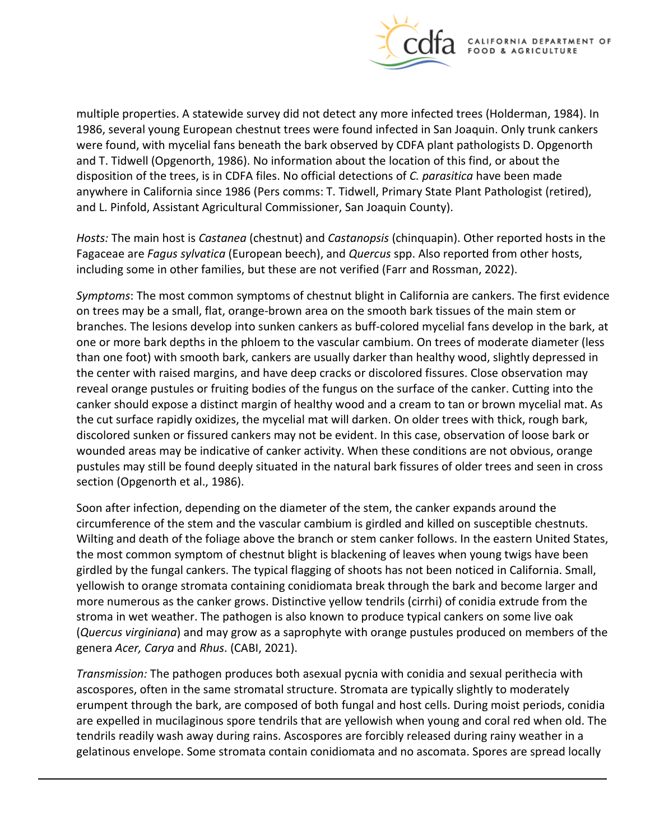

 were found, with mycelial fans beneath the bark observed by CDFA plant pathologists D. Opgenorth multiple properties. A statewide survey did not detect any more infected trees (Holderman, 1984). In 1986, several young European chestnut trees were found infected in San Joaquin. Only trunk cankers and T. Tidwell (Opgenorth, 1986). No information about the location of this find, or about the disposition of the trees, is in CDFA files. No official detections of *C. parasitica* have been made anywhere in California since 1986 (Pers comms: T. Tidwell, Primary State Plant Pathologist (retired), and L. Pinfold, Assistant Agricultural Commissioner, San Joaquin County).

 *Hosts:* The main host is *Castanea* (chestnut) and *Castanopsis* (chinquapin). Other reported hosts in the including some in other families, but these are not verified (Farr and Rossman, 2022). Fagaceae are *Fagus sylvatica* (European beech), and *Quercus* spp. Also reported from other hosts,

 branches. The lesions develop into sunken cankers as buff-colored mycelial fans develop in the bark, at one or more bark depths in the phloem to the vascular cambium. On trees of moderate diameter (less than one foot) with smooth bark, cankers are usually darker than healthy wood, slightly depressed in canker should expose a distinct margin of healthy wood and a cream to tan or brown mycelial mat. As the cut surface rapidly oxidizes, the mycelial mat will darken. On older trees with thick, rough bark, wounded areas may be indicative of canker activity. When these conditions are not obvious, orange pustules may still be found deeply situated in the natural bark fissures of older trees and seen in cross *Symptoms*: The most common symptoms of chestnut blight in California are cankers. The first evidence on trees may be a small, flat, orange-brown area on the smooth bark tissues of the main stem or the center with raised margins, and have deep cracks or discolored fissures. Close observation may reveal orange pustules or fruiting bodies of the fungus on the surface of the canker. Cutting into the discolored sunken or fissured cankers may not be evident. In this case, observation of loose bark or section (Opgenorth et al., 1986).

 Soon after infection, depending on the diameter of the stem, the canker expands around the Wilting and death of the foliage above the branch or stem canker follows. In the eastern United States, the most common symptom of chestnut blight is blackening of leaves when young twigs have been yellowish to orange stromata containing conidiomata break through the bark and become larger and more numerous as the canker grows. Distinctive yellow tendrils (cirrhi) of conidia extrude from the (*Quercus virginiana*) and may grow as a saprophyte with orange pustules produced on members of the circumference of the stem and the vascular cambium is girdled and killed on susceptible chestnuts. girdled by the fungal cankers. The typical flagging of shoots has not been noticed in California. Small, stroma in wet weather. The pathogen is also known to produce typical cankers on some live oak genera *Acer, Carya* and *Rhus*. (CABI, 2021).

 *Transmission:* The pathogen produces both asexual pycnia with conidia and sexual perithecia with ascospores, often in the same stromatal structure. Stromata are typically slightly to moderately erumpent through the bark, are composed of both fungal and host cells. During moist periods, conidia are expelled in mucilaginous spore tendrils that are yellowish when young and coral red when old. The tendrils readily wash away during rains. Ascospores are forcibly released during rainy weather in a gelatinous envelope. Some stromata contain conidiomata and no ascomata. Spores are spread locally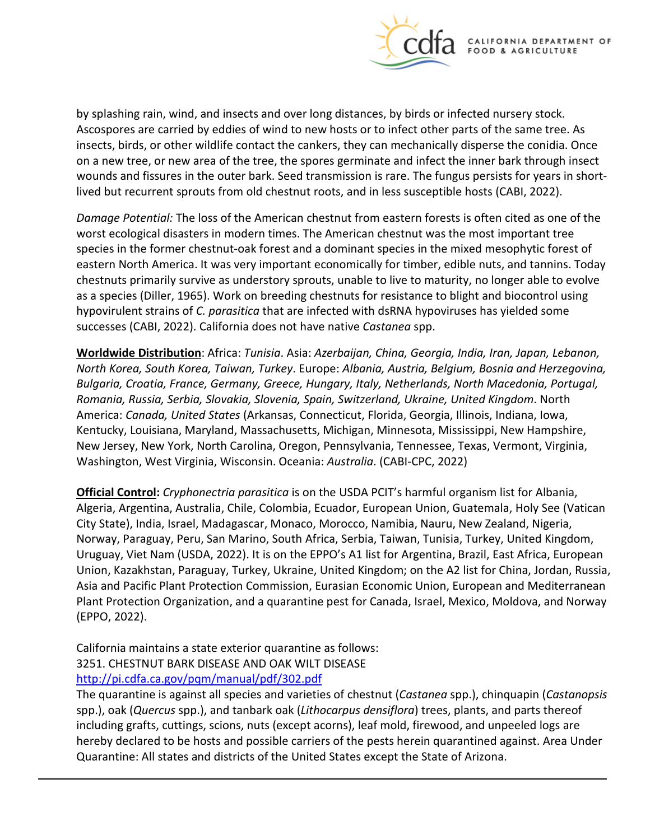

 Ascospores are carried by eddies of wind to new hosts or to infect other parts of the same tree. As on a new tree, or new area of the tree, the spores germinate and infect the inner bark through insect wounds and fissures in the outer bark. Seed transmission is rare. The fungus persists for years in shortby splashing rain, wind, and insects and over long distances, by birds or infected nursery stock. insects, birds, or other wildlife contact the cankers, they can mechanically disperse the conidia. Once lived but recurrent sprouts from old chestnut roots, and in less susceptible hosts (CABI, 2022).

 eastern North America. It was very important economically for timber, edible nuts, and tannins. Today chestnuts primarily survive as understory sprouts, unable to live to maturity, no longer able to evolve as a species (Diller, 1965). Work on breeding chestnuts for resistance to blight and biocontrol using hypovirulent strains of *C. parasitica* that are infected with dsRNA hypoviruses has yielded some successes (CABI, 2022). California does not have native *Castanea* spp. *Damage Potential:* The loss of the American chestnut from eastern forests is often cited as one of the worst ecological disasters in modern times. The American chestnut was the most important tree species in the former chestnut-oak forest and a dominant species in the mixed mesophytic forest of

 Kentucky, Louisiana, Maryland, Massachusetts, Michigan, Minnesota, Mississippi, New Hampshire, **Worldwide Distribution**: Africa: *Tunisia*. Asia: *Azerbaijan, China, Georgia, India, Iran, Japan, Lebanon, North Korea, South Korea, Taiwan, Turkey*. Europe: *Albania, Austria, Belgium, Bosnia and Herzegovina, Bulgaria, Croatia, France, Germany, Greece, Hungary, Italy, Netherlands, North Macedonia, Portugal, Romania, Russia, Serbia, Slovakia, Slovenia, Spain, Switzerland, Ukraine, United Kingdom*. North America: *Canada, United States* (Arkansas, Connecticut, Florida, Georgia, Illinois, Indiana, Iowa, New Jersey, New York, North Carolina, Oregon, Pennsylvania, Tennessee, Texas, Vermont, Virginia, Washington, West Virginia, Wisconsin. Oceania: *Australia*. (CABI-CPC, 2022)

 Algeria, Argentina, Australia, Chile, Colombia, Ecuador, European Union, Guatemala, Holy See (Vatican City State), India, Israel, Madagascar, Monaco, Morocco, Namibia, Nauru, New Zealand, Nigeria, Norway, Paraguay, Peru, San Marino, South Africa, Serbia, Taiwan, Tunisia, Turkey, United Kingdom, Uruguay, Viet Nam (USDA, 2022). It is on the EPPO's A1 list for Argentina, Brazil, East Africa, European Plant Protection Organization, and a quarantine pest for Canada, Israel, Mexico, Moldova, and Norway **Official Control:** *Cryphonectria parasitica* is on the USDA PCIT's harmful organism list for Albania, Union, Kazakhstan, Paraguay, Turkey, Ukraine, United Kingdom; on the A2 list for China, Jordan, Russia, Asia and Pacific Plant Protection Commission, Eurasian Economic Union, European and Mediterranean (EPPO, 2022).

 3251. CHESTNUT BARK DISEASE AND OAK WILT DISEASE California maintains a state exterior quarantine as follows: <http://pi.cdfa.ca.gov/pqm/manual/pdf/302.pdf>

 including grafts, cuttings, scions, nuts (except acorns), leaf mold, firewood, and unpeeled logs are Quarantine: All states and districts of the United States except the State of Arizona. The quarantine is against all species and varieties of chestnut (*Castanea* spp.), chinquapin (*Castanopsis*  spp.), oak (*Quercus* spp.), and tanbark oak (*Lithocarpus densiflora*) trees, plants, and parts thereof hereby declared to be hosts and possible carriers of the pests herein quarantined against. Area Under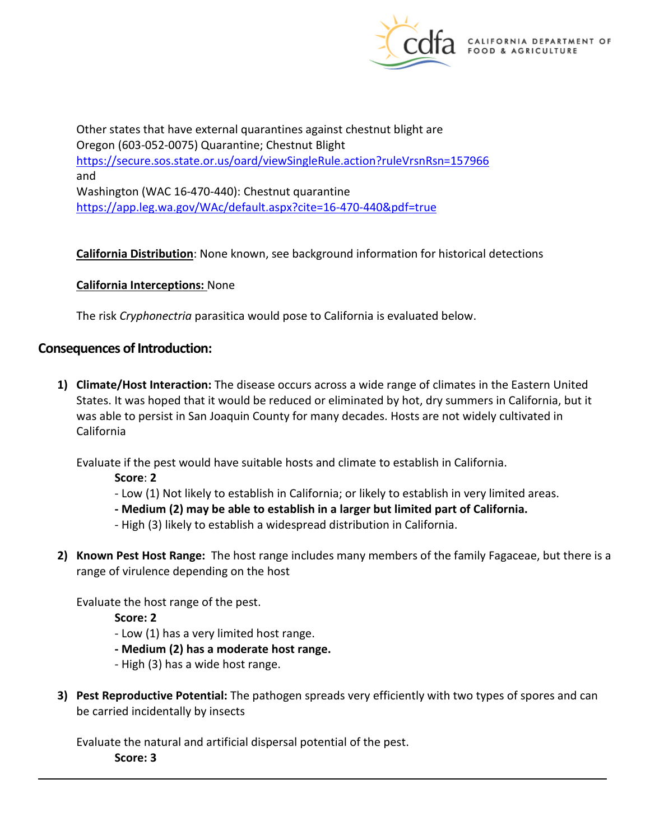

Other states that have external quarantines against chestnut blight are Oregon (603-052-0075) Quarantine; Chestnut Blight <https://secure.sos.state.or.us/oard/viewSingleRule.action?ruleVrsnRsn=157966> and Washington (WAC 16-470-440): Chestnut quarantine <https://app.leg.wa.gov/WAc/default.aspx?cite=16-470-440&pdf=true>

**California Distribution**: None known, see background information for historical detections

#### **California Interceptions:** None

The risk *Cryphonectria* parasitica would pose to California is evaluated below.

#### **Consequences of Introduction:**

 States. It was hoped that it would be reduced or eliminated by hot, dry summers in California, but it was able to persist in San Joaquin County for many decades. Hosts are not widely cultivated in **1) Climate/Host Interaction:** The disease occurs across a wide range of climates in the Eastern United California

Evaluate if the pest would have suitable hosts and climate to establish in California.

- **Score**: **2**
- Low (1) Not likely to establish in California; or likely to establish in very limited areas.
- **- Medium (2) may be able to establish in a larger but limited part of California.**
- High (3) likely to establish a widespread distribution in California.
- **2) Known Pest Host Range:** The host range includes many members of the family Fagaceae, but there is a range of virulence depending on the host

Evaluate the host range of the pest.

- **Score: 2**
- Low (1) has a very limited host range.
- **- Medium (2) has a moderate host range.**
- High (3) has a wide host range.
- **3) Pest Reproductive Potential:** The pathogen spreads very efficiently with two types of spores and can be carried incidentally by insects

Evaluate the natural and artificial dispersal potential of the pest.

 **Score: 3**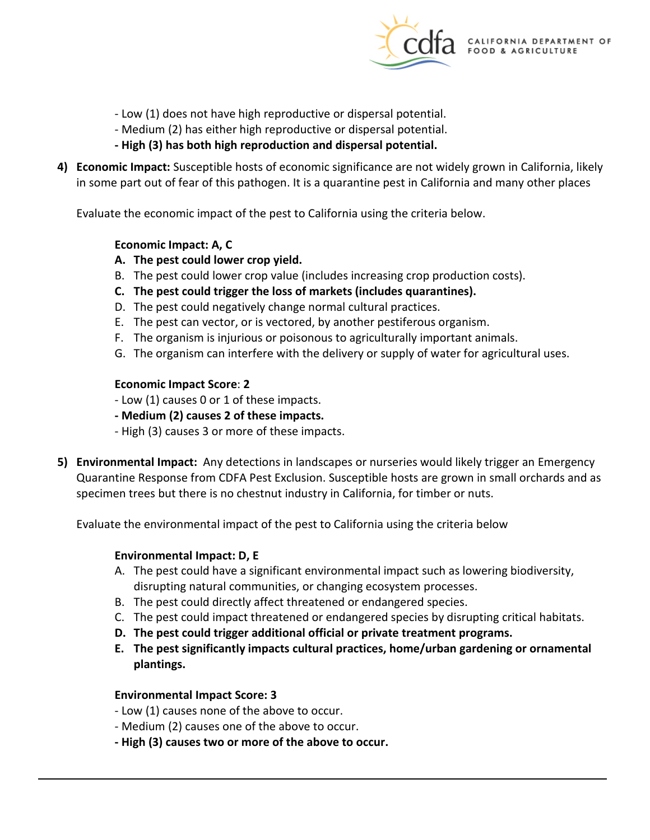

- Low (1) does not have high reproductive or dispersal potential.
- Medium (2) has either high reproductive or dispersal potential.
- **- High (3) has both high reproduction and dispersal potential.**
- in some part out of fear of this pathogen. It is a quarantine pest in California and many other places **4) Economic Impact:** Susceptible hosts of economic significance are not widely grown in California, likely

Evaluate the economic impact of the pest to California using the criteria below.

#### **Economic Impact: A, C**

- **A. The pest could lower crop yield.**
- B. The pest could lower crop value (includes increasing crop production costs).
- **C. The pest could trigger the loss of markets (includes quarantines).**
- D. The pest could negatively change normal cultural practices.
- E. The pest can vector, or is vectored, by another pestiferous organism.
- F. The organism is injurious or poisonous to agriculturally important animals.
- G. The organism can interfere with the delivery or supply of water for agricultural uses.

#### **Economic Impact Score**: **2**

- Low (1) causes 0 or 1 of these impacts.
- **- Medium (2) causes 2 of these impacts.**
- High (3) causes 3 or more of these impacts.
- **5) Environmental Impact:** Any detections in landscapes or nurseries would likely trigger an Emergency Quarantine Response from CDFA Pest Exclusion. Susceptible hosts are grown in small orchards and as specimen trees but there is no chestnut industry in California, for timber or nuts.

Evaluate the environmental impact of the pest to California using the criteria below

#### **Environmental Impact: D, E**

- A. The pest could have a significant environmental impact such as lowering biodiversity, disrupting natural communities, or changing ecosystem processes.
- B. The pest could directly affect threatened or endangered species.
- C. The pest could impact threatened or endangered species by disrupting critical habitats.
- **D. The pest could trigger additional official or private treatment programs.**
- **E. The pest significantly impacts cultural practices, home/urban gardening or ornamental plantings.**

#### **Environmental Impact Score: 3**

- Low (1) causes none of the above to occur.
- Medium (2) causes one of the above to occur.
- **- High (3) causes two or more of the above to occur.**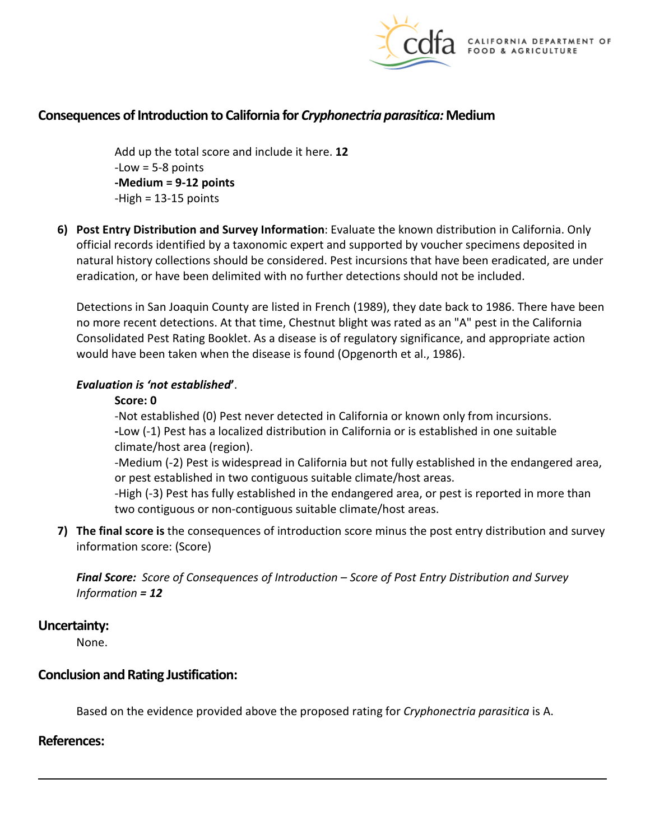

# **Consequences of Introduction to California for** *Cryphonectria parasitica:* **Medium**

 Add up the total score and include it here. **12**   $-Low = 5-8$  points **-Medium = 9-12 points**  -High = 13-15 points

 natural history collections should be considered. Pest incursions that have been eradicated, are under eradication, or have been delimited with no further detections should not be included. **6) Post Entry Distribution and Survey Information**: Evaluate the known distribution in California. Only official records identified by a taxonomic expert and supported by voucher specimens deposited in

 would have been taken when the disease is found (Opgenorth et al., 1986). Detections in San Joaquin County are listed in French (1989), they date back to 1986. There have been no more recent detections. At that time, Chestnut blight was rated as an "A" pest in the California Consolidated Pest Rating Booklet. As a disease is of regulatory significance, and appropriate action

#### *Evaluation is 'not established***'**.

#### **Score: 0**

 -Not established (0) Pest never detected in California or known only from incursions. **-**Low (-1) Pest has a localized distribution in California or is established in one suitable climate/host area (region).

-Medium (-2) Pest is widespread in California but not fully established in the endangered area, or pest established in two contiguous suitable climate/host areas.

 -High (-3) Pest has fully established in the endangered area, or pest is reported in more than two contiguous or non-contiguous suitable climate/host areas.

 **7) The final score is** the consequences of introduction score minus the post entry distribution and survey information score: (Score)

*Final Score: Score of Consequences of Introduction – Score of Post Entry Distribution and Survey Information = 12*

#### **Uncertainty:**

None.

#### **Conclusion and Rating Justification:**

Based on the evidence provided above the proposed rating for *Cryphonectria parasitica* is A.

#### **References:**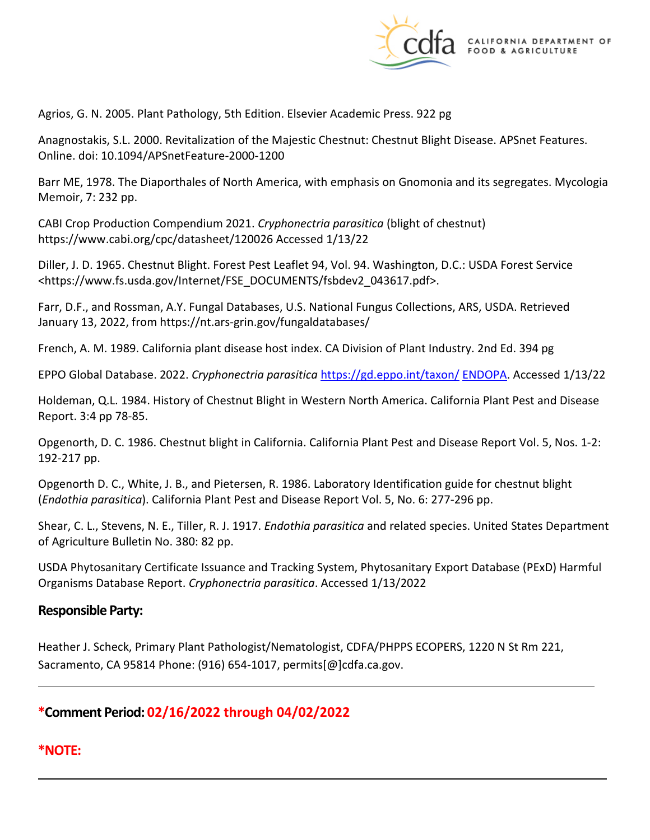

Agrios, G. N. 2005. Plant Pathology, 5th Edition. Elsevier Academic Press. 922 pg

Anagnostakis, S.L. 2000. Revitalization of the Majestic Chestnut: Chestnut Blight Disease. APSnet Features. Online. doi: 10.1094/APSnetFeature-2000-1200

 Barr ME, 1978. The Diaporthales of North America, with emphasis on Gnomonia and its segregates. Mycologia Memoir, 7: 232 pp.

CABI Crop Production Compendium 2021. *Cryphonectria parasitica* (blight of chestnut) <https://www.cabi.org/cpc/datasheet/120026> Accessed 1/13/22

 Diller, J. D. 1965. Chestnut Blight. Forest Pest Leaflet 94, Vol. 94. Washington, D.C.: USDA Forest Service <[https://www.fs.usda.gov/Internet/FSE\\_DOCUMENTS/fsbdev2\\_043617.pdf>](https://www.fs.usda.gov/Internet/FSE_DOCUMENTS/fsbdev2_043617.pdf).

 January 13, 2022, from [https://nt.ars-grin.gov/fungaldatabases/](https://nt.ars-grin.gov/fungaldatabases) Farr, D.F., and Rossman, A.Y. Fungal Databases, U.S. National Fungus Collections, ARS, USDA. Retrieved

French, A. M. 1989. California plant disease host index. CA Division of Plant Industry. 2nd Ed. 394 pg

EPPO Global Database. 2022. *Cryphonectria parasitica* [https://gd.eppo.int/taxon/](https://gd.eppo.int/taxon/CSYV00) ENDOPA. Accessed 1/13/22

 Holdeman, Q.L. 1984. History of Chestnut Blight in Western North America. California Plant Pest and Disease Report. 3:4 pp 78-85.

Opgenorth, D. C. 1986. Chestnut blight in California. California Plant Pest and Disease Report Vol. 5, Nos. 1-2: 192-217 pp.

Opgenorth D. C., White, J. B., and Pietersen, R. 1986. Laboratory Identification guide for chestnut blight (*Endothia parasitica*). California Plant Pest and Disease Report Vol. 5, No. 6: 277-296 pp.

 Shear, C. L., Stevens, N. E., Tiller, R. J. 1917. *Endothia parasitica* and related species. United States Department of Agriculture Bulletin No. 380: 82 pp.

USDA Phytosanitary Certificate Issuance and Tracking System, Phytosanitary Export Database (PExD) Harmful Organisms Database Report. *Cryphonectria parasitica*. Accessed 1/13/2022

## **Responsible Party:**

Heather J. Scheck, Primary Plant Pathologist/Nematologist, CDFA/PHPPS ECOPERS, 1220 N St Rm 221, Sacramento, CA 95814 Phone: (916) 654-1017, [permits\[@\]cdfa.ca.gov](https://permits[@]cdfa.ca.gov).

# **\*Comment Period: 02/16/2022 through 04/02/2022**

## **\*NOTE:**